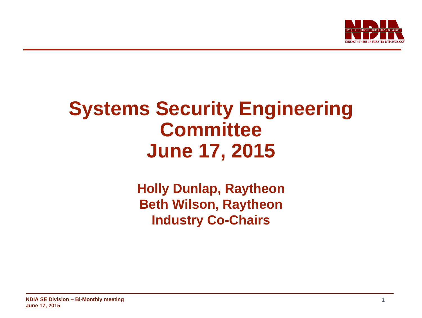

# **Systems Security Engineering Committee June 17, 2015**

**Holly Dunlap, Raytheon Beth Wilson, Raytheon Industry Co-Chairs**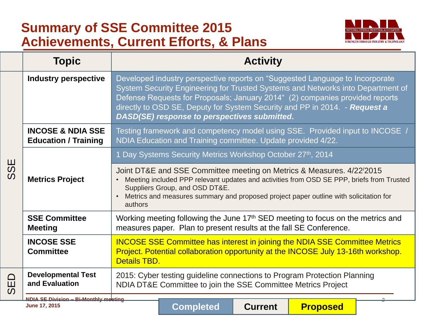# **Summary of SSE Committee 2015 Achievements, Current Efforts, & Plans**



|             | <b>Topic</b>                                                | <b>Activity</b>                                                                                                                                                                                                                                                                                                                                                               |
|-------------|-------------------------------------------------------------|-------------------------------------------------------------------------------------------------------------------------------------------------------------------------------------------------------------------------------------------------------------------------------------------------------------------------------------------------------------------------------|
| ⊞<br>S<br>S | <b>Industry perspective</b>                                 | Developed industry perspective reports on "Suggested Language to Incorporate<br>System Security Engineering for Trusted Systems and Networks into Department of<br>Defense Requests for Proposals; January 2014" (2) companies provided reports<br>directly to OSD SE, Deputy for System Security and PP in 2014. - Request a<br>DASD(SE) response to perspectives submitted. |
|             | <b>INCOSE &amp; NDIA SSE</b><br><b>Education / Training</b> | Testing framework and competency model using SSE. Provided input to INCOSE /<br>NDIA Education and Training committee. Update provided 4/22.                                                                                                                                                                                                                                  |
|             |                                                             | 1 Day Systems Security Metrics Workshop October 27th, 2014                                                                                                                                                                                                                                                                                                                    |
|             | <b>Metrics Project</b>                                      | Joint DT&E and SSE Committee meeting on Metrics & Measures. 4/22/2015<br>Meeting included PPP relevant updates and activities from OSD SE PPP, briefs from Trusted<br>Suppliers Group, and OSD DT&E.<br>Metrics and measures summary and proposed project paper outline with solicitation for<br>authors                                                                      |
|             | <b>SSE Committee</b><br><b>Meeting</b>                      | Working meeting following the June 17 <sup>th</sup> SED meeting to focus on the metrics and<br>measures paper. Plan to present results at the fall SE Conference.                                                                                                                                                                                                             |
|             | <b>INCOSE SSE</b><br><b>Committee</b>                       | <b>INCOSE SSE Committee has interest in joining the NDIA SSE Committee Metrics</b><br>Project. Potential collaboration opportunity at the INCOSE July 13-16th workshop.<br>Details TBD.                                                                                                                                                                                       |
| SED<br>S    | <b>Developmental Test</b><br>and Evaluation                 | 2015: Cyber testing guideline connections to Program Protection Planning<br>NDIA DT&E Committee to join the SSE Committee Metrics Project                                                                                                                                                                                                                                     |
|             | NDIA SE Division - Bi-Monthly meeting<br>June 17, 2015      | <b>Completed</b><br><b>Current</b><br><b>Proposed</b>                                                                                                                                                                                                                                                                                                                         |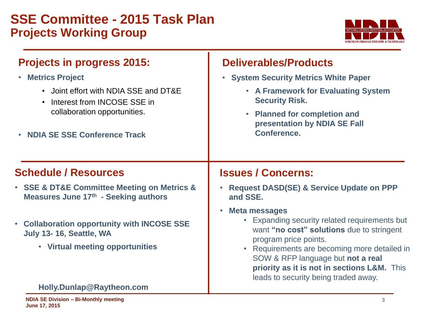## **SSE Committee - 2015 Task Plan Projects Working Group**



#### **Projects in progress 2015:** • **Metrics Project** • Joint effort with NDIA SSE and DT&E • Interest from INCOSE SSE in collaboration opportunities. • **NDIA SE SSE Conference Track** • **System Security Metrics White Paper Security Risk.** • **Planned for completion and presentation by NDIA SE Fall Conference. Schedule / Resources** • **SSE & DT&E Committee Meeting on Metrics & Measures June 17th - Seeking authors** • **Collaboration opportunity with INCOSE SSE July 13- 16, Seattle, WA Issues / Concerns: and SSE.** • **Meta messages**

• **Virtual meeting opportunities**

#### **Holly.Dunlap@Raytheon.com**

### **Deliverables/Products**

• **A Framework for Evaluating System** 

- **Request DASD(SE) & Service Update on PPP** 
	- Expanding security related requirements but want **"no cost" solutions** due to stringent program price points.
	- Requirements are becoming more detailed in SOW & RFP language but **not a real priority as it is not in sections L&M.** This leads to security being traded away.